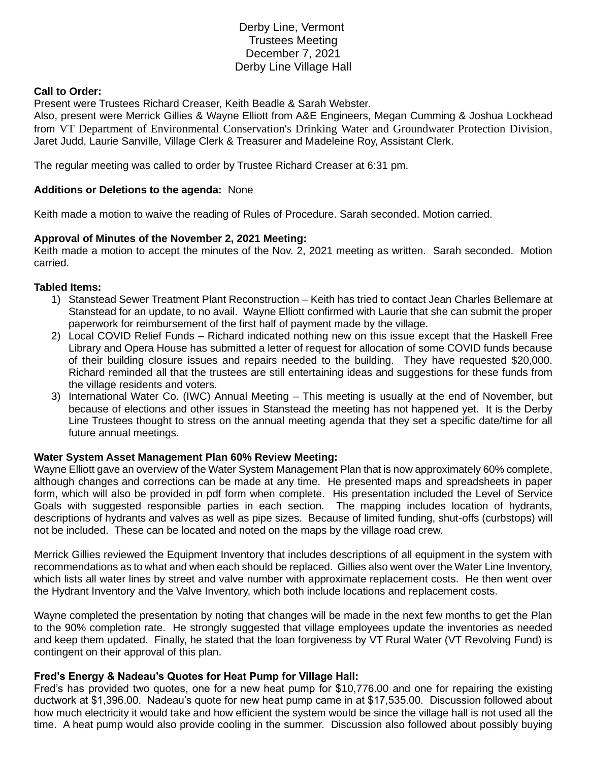# Derby Line, Vermont Trustees Meeting December 7, 2021 Derby Line Village Hall

#### **Call to Order:**

Present were Trustees Richard Creaser, Keith Beadle & Sarah Webster.

Also, present were Merrick Gillies & Wayne Elliott from A&E Engineers, Megan Cumming & Joshua Lockhead from VT Department of Environmental Conservation's Drinking Water and Groundwater Protection Division, Jaret Judd, Laurie Sanville, Village Clerk & Treasurer and Madeleine Roy, Assistant Clerk.

The regular meeting was called to order by Trustee Richard Creaser at 6:31 pm.

### **Additions or Deletions to the agenda:** None

Keith made a motion to waive the reading of Rules of Procedure. Sarah seconded. Motion carried.

### **Approval of Minutes of the November 2, 2021 Meeting:**

Keith made a motion to accept the minutes of the Nov. 2, 2021 meeting as written. Sarah seconded. Motion carried.

#### **Tabled Items:**

- 1) Stanstead Sewer Treatment Plant Reconstruction Keith has tried to contact Jean Charles Bellemare at Stanstead for an update, to no avail. Wayne Elliott confirmed with Laurie that she can submit the proper paperwork for reimbursement of the first half of payment made by the village.
- 2) Local COVID Relief Funds Richard indicated nothing new on this issue except that the Haskell Free Library and Opera House has submitted a letter of request for allocation of some COVID funds because of their building closure issues and repairs needed to the building. They have requested \$20,000. Richard reminded all that the trustees are still entertaining ideas and suggestions for these funds from the village residents and voters.
- 3) International Water Co. (IWC) Annual Meeting This meeting is usually at the end of November, but because of elections and other issues in Stanstead the meeting has not happened yet. It is the Derby Line Trustees thought to stress on the annual meeting agenda that they set a specific date/time for all future annual meetings.

# **Water System Asset Management Plan 60% Review Meeting:**

Wayne Elliott gave an overview of the Water System Management Plan that is now approximately 60% complete, although changes and corrections can be made at any time. He presented maps and spreadsheets in paper form, which will also be provided in pdf form when complete. His presentation included the Level of Service Goals with suggested responsible parties in each section. The mapping includes location of hydrants, descriptions of hydrants and valves as well as pipe sizes. Because of limited funding, shut-offs (curbstops) will not be included. These can be located and noted on the maps by the village road crew.

Merrick Gillies reviewed the Equipment Inventory that includes descriptions of all equipment in the system with recommendations as to what and when each should be replaced. Gillies also went over the Water Line Inventory, which lists all water lines by street and valve number with approximate replacement costs. He then went over the Hydrant Inventory and the Valve Inventory, which both include locations and replacement costs.

Wayne completed the presentation by noting that changes will be made in the next few months to get the Plan to the 90% completion rate. He strongly suggested that village employees update the inventories as needed and keep them updated. Finally, he stated that the loan forgiveness by VT Rural Water (VT Revolving Fund) is contingent on their approval of this plan.

# **Fred's Energy & Nadeau's Quotes for Heat Pump for Village Hall:**

Fred's has provided two quotes, one for a new heat pump for \$10,776.00 and one for repairing the existing ductwork at \$1,396.00. Nadeau's quote for new heat pump came in at \$17,535.00. Discussion followed about how much electricity it would take and how efficient the system would be since the village hall is not used all the time. A heat pump would also provide cooling in the summer. Discussion also followed about possibly buying